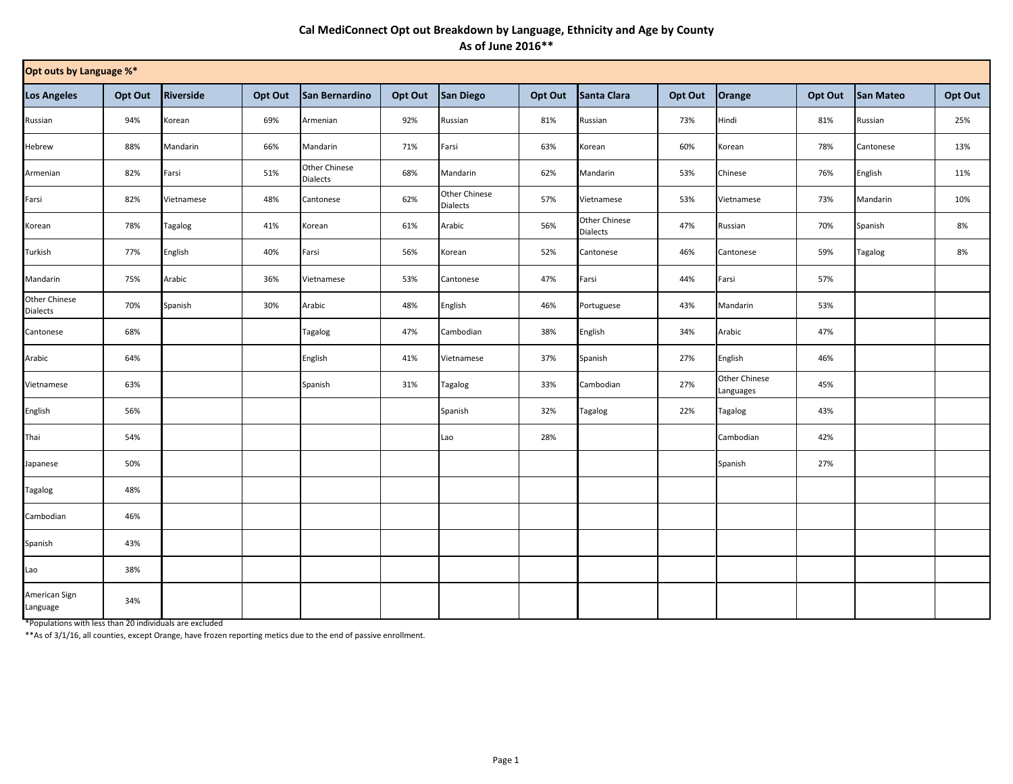## **Cal MediConnect Opt out Breakdown by Language, Ethnicity and Age by County As of June 2016\*\***

| Opt outs by Language %*   |         |                  |         |                                         |         |                           |         |                                  |         |                            |         |                |         |
|---------------------------|---------|------------------|---------|-----------------------------------------|---------|---------------------------|---------|----------------------------------|---------|----------------------------|---------|----------------|---------|
| <b>Los Angeles</b>        | Opt Out | <b>Riverside</b> | Opt Out | San Bernardino                          | Opt Out | San Diego                 | Opt Out | Santa Clara                      | Opt Out | Orange                     | Opt Out | San Mateo      | Opt Out |
| Russian                   | 94%     | Korean           | 69%     | Armenian                                | 92%     | Russian                   | 81%     | Russian                          | 73%     | Hindi                      | 81%     | Russian        | 25%     |
| Hebrew                    | 88%     | Mandarin         | 66%     | Mandarin                                | 71%     | Farsi                     | 63%     | Korean                           | 60%     | Korean                     | 78%     | Cantonese      | 13%     |
| Armenian                  | 82%     | Farsi            | 51%     | <b>Other Chinese</b><br><b>Dialects</b> | 68%     | Mandarin                  | 62%     | Mandarin                         | 53%     | Chinese                    | 76%     | English        | 11%     |
| Farsi                     | 82%     | Vietnamese       | 48%     | Cantonese                               | 62%     | Other Chinese<br>Dialects | 57%     | Vietnamese                       | 53%     | Vietnamese                 | 73%     | Mandarin       | 10%     |
| Korean                    | 78%     | <b>Tagalog</b>   | 41%     | Korean                                  | 61%     | Arabic                    | 56%     | Other Chinese<br><b>Dialects</b> | 47%     | Russian                    | 70%     | Spanish        | 8%      |
| Turkish                   | 77%     | English          | 40%     | Farsi                                   | 56%     | Korean                    | 52%     | Cantonese                        | 46%     | Cantonese                  | 59%     | <b>Tagalog</b> | 8%      |
| Mandarin                  | 75%     | Arabic           | 36%     | Vietnamese                              | 53%     | Cantonese                 | 47%     | Farsi                            | 44%     | Farsi                      | 57%     |                |         |
| Other Chinese<br>Dialects | 70%     | Spanish          | 30%     | Arabic                                  | 48%     | English                   | 46%     | Portuguese                       | 43%     | Mandarin                   | 53%     |                |         |
| Cantonese                 | 68%     |                  |         | <b>Tagalog</b>                          | 47%     | Cambodian                 | 38%     | English                          | 34%     | Arabic                     | 47%     |                |         |
| Arabic                    | 64%     |                  |         | English                                 | 41%     | Vietnamese                | 37%     | Spanish                          | 27%     | English                    | 46%     |                |         |
| Vietnamese                | 63%     |                  |         | Spanish                                 | 31%     | Tagalog                   | 33%     | Cambodian                        | 27%     | Other Chinese<br>Languages | 45%     |                |         |
| English                   | 56%     |                  |         |                                         |         | Spanish                   | 32%     | Tagalog                          | 22%     | <b>Tagalog</b>             | 43%     |                |         |
| Thai                      | 54%     |                  |         |                                         |         | Lao                       | 28%     |                                  |         | Cambodian                  | 42%     |                |         |
| Japanese                  | 50%     |                  |         |                                         |         |                           |         |                                  |         | Spanish                    | 27%     |                |         |
| <b>Tagalog</b>            | 48%     |                  |         |                                         |         |                           |         |                                  |         |                            |         |                |         |
| Cambodian                 | 46%     |                  |         |                                         |         |                           |         |                                  |         |                            |         |                |         |
| Spanish                   | 43%     |                  |         |                                         |         |                           |         |                                  |         |                            |         |                |         |
| Lao                       | 38%     |                  |         |                                         |         |                           |         |                                  |         |                            |         |                |         |
| American Sign<br>Language | 34%     |                  |         |                                         |         |                           |         |                                  |         |                            |         |                |         |

\*Populations with less than 20 individuals are excluded

\*\*As of 3/1/16, all counties, except Orange, have frozen reporting metics due to the end of passive enrollment.